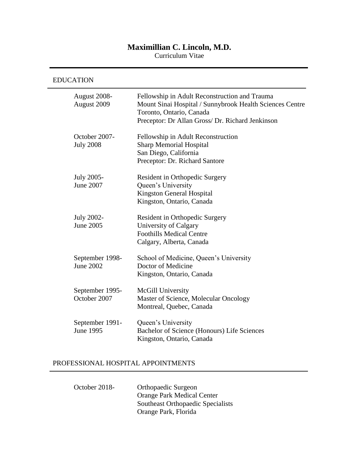## **Maximillian C. Lincoln, M.D.**

Curriculum Vitae

### EDUCATION

| August 2008-<br>August 2009         | Fellowship in Adult Reconstruction and Trauma<br>Mount Sinai Hospital / Sunnybrook Health Sciences Centre<br>Toronto, Ontario, Canada<br>Preceptor: Dr Allan Gross/ Dr. Richard Jenkinson |
|-------------------------------------|-------------------------------------------------------------------------------------------------------------------------------------------------------------------------------------------|
| October 2007-<br><b>July 2008</b>   | Fellowship in Adult Reconstruction<br><b>Sharp Memorial Hospital</b><br>San Diego, California<br>Preceptor: Dr. Richard Santore                                                           |
| July 2005-<br>June 2007             | Resident in Orthopedic Surgery<br>Queen's University<br><b>Kingston General Hospital</b><br>Kingston, Ontario, Canada                                                                     |
| July 2002-<br>June 2005             | Resident in Orthopedic Surgery<br>University of Calgary<br><b>Foothills Medical Centre</b><br>Calgary, Alberta, Canada                                                                    |
| September 1998-<br>June 2002        | School of Medicine, Queen's University<br>Doctor of Medicine<br>Kingston, Ontario, Canada                                                                                                 |
| September 1995-<br>October 2007     | McGill University<br>Master of Science, Molecular Oncology<br>Montreal, Quebec, Canada                                                                                                    |
| September 1991-<br><b>June 1995</b> | Queen's University<br>Bachelor of Science (Honours) Life Sciences<br>Kingston, Ontario, Canada                                                                                            |

# PROFESSIONAL HOSPITAL APPOINTMENTS

| October 2018- | Orthopaedic Surgeon               |
|---------------|-----------------------------------|
|               | <b>Orange Park Medical Center</b> |
|               | Southeast Orthopaedic Specialists |
|               | Orange Park, Florida              |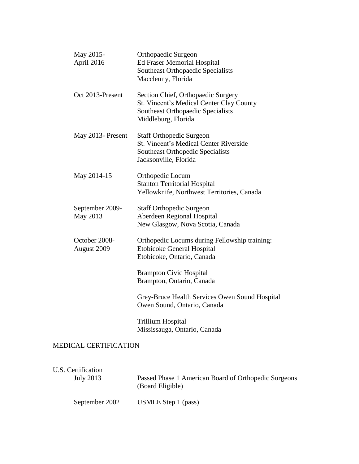| May 2015-<br>April 2016      | <b>Orthopaedic Surgeon</b><br><b>Ed Fraser Memorial Hospital</b><br>Southeast Orthopaedic Specialists<br>Macclenny, Florida                   |
|------------------------------|-----------------------------------------------------------------------------------------------------------------------------------------------|
| Oct 2013-Present             | Section Chief, Orthopaedic Surgery<br>St. Vincent's Medical Center Clay County<br>Southeast Orthopaedic Specialists<br>Middleburg, Florida    |
| May 2013- Present            | <b>Staff Orthopedic Surgeon</b><br><b>St. Vincent's Medical Center Riverside</b><br>Southeast Orthopedic Specialists<br>Jacksonville, Florida |
| May 2014-15                  | Orthopedic Locum<br><b>Stanton Territorial Hospital</b><br>Yellowknife, Northwest Territories, Canada                                         |
| September 2009-<br>May 2013  | <b>Staff Orthopedic Surgeon</b><br><b>Aberdeen Regional Hospital</b><br>New Glasgow, Nova Scotia, Canada                                      |
| October 2008-<br>August 2009 | Orthopedic Locums during Fellowship training:<br><b>Etobicoke General Hospital</b><br>Etobicoke, Ontario, Canada                              |
|                              | <b>Brampton Civic Hospital</b><br>Brampton, Ontario, Canada                                                                                   |
|                              | Grey-Bruce Health Services Owen Sound Hospital<br>Owen Sound, Ontario, Canada                                                                 |
|                              | <b>Trillium Hospital</b><br>Mississauga, Ontario, Canada                                                                                      |

#### MEDICAL CERTIFICATION

| U.S. Certification | Passed Phase 1 American Board of Orthopedic Surgeons |
|--------------------|------------------------------------------------------|
| July 2013          | (Board Eligible)                                     |
| September 2002     | USMLE Step 1 (pass)                                  |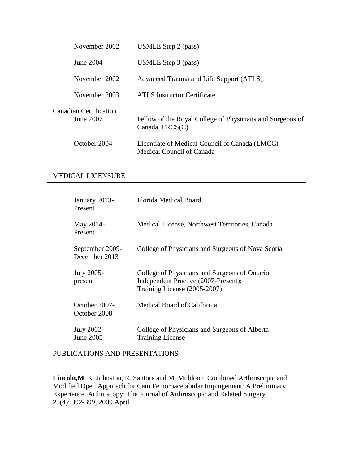| November 2002                       | USMLE Step 2 (pass)                                                            |
|-------------------------------------|--------------------------------------------------------------------------------|
| June 2004                           | USMLE Step 3 (pass)                                                            |
| November 2002                       | Advanced Trauma and Life Support (ATLS)                                        |
| November 2003                       | <b>ATLS</b> Instructor Certificate                                             |
| Canadian Certification<br>June 2007 | Fellow of the Royal College of Physicians and Surgeons of<br>Canada, $FRCS(C)$ |
| October 2004                        | Licentiate of Medical Council of Canada (LMCC)<br>Medical Council of Canada    |

#### MEDICAL LICENSURE

| January 2013-<br>Present         | Florida Medical Board                                                                                                  |
|----------------------------------|------------------------------------------------------------------------------------------------------------------------|
| May 2014-<br>Present             | Medical License, Northwest Territories, Canada                                                                         |
| September 2009-<br>December 2013 | College of Physicians and Surgeons of Nova Scotia                                                                      |
| July 2005-<br>present            | College of Physicians and Surgeons of Ontario,<br>Independent Practice (2007-Present);<br>Training License (2005-2007) |
| October 2007-<br>October 2008    | Medical Board of California                                                                                            |
| July 2002-<br>June 2005          | College of Physicians and Surgeons of Alberta<br><b>Training License</b>                                               |

PUBLICATIONS AND PRESENTATIONS

**Lincoln,M**, K. Johnston, R. Santore and M. Muldoon. Combined Arthroscopic and Modified Open Approach for Cam Femoroacetabular Impingement: A Preliminary Experience. Arthroscopy: The Journal of Arthroscopic and Related Surgery 25(4): 392-399, 2009 April.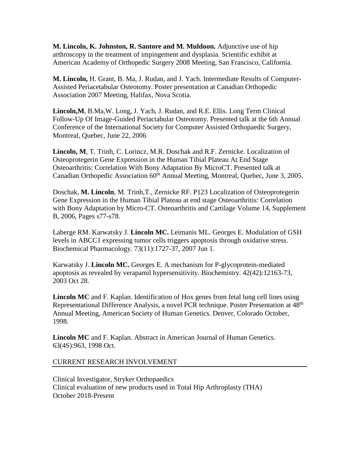**M. Lincoln, K. Johnston, R. Santore and M. Muldoon.** Adjunctive use of hip arthroscopy in the treatment of impingement and dysplasia. Scientific exhibit at American Academy of Orthopedic Surgery 2008 Meeting, San Francisco, California.

**M. Lincoln,** H. Grant, B. Ma, J. Rudan, and J. Yach. Intermediate Results of Computer-Assisted Periacetabular Osteotomy. Poster presentation at Canadian Orthopedic Association 2007 Meeting, Halifax, Nova Scotia.

**Lincoln,M**, B.Ma,W. Long, J. Yach, J. Rudan, and R.E. Ellis. Long Term Clinical Follow-Up Of Image-Guided Periactabular Osteotomy. Presented talk at the 6th Annual Conference of the International Society for Computer Assisted Orthopaedic Surgery, Montreal, Quebec, June 22, 2006

**Lincoln, M**, T. Trinh, C. Lorincz, M.R. Doschak and R.F. Zernicke. Localization of Osteoprotegerin Gene Expression in the Human Tibial Plateau At End Stage Osteoarthritis: Correlation With Bony Adaptation By MicroCT. Presented talk at Canadian Orthopedic Association  $60<sup>th</sup>$  Annual Meeting, Montreal, Ouebec, June 3, 2005.

Doschak, **M. Lincoln**, M. Trinh,T., Zernicke RF. P123 Localization of Osteoprotegerin Gene Expression in the Human Tibial Plateau at end stage Osteoarthritis: Correlation with Bony Adaptation by Micro-CT. Osteoarthritis and Cartilage Volume 14, Supplement B, 2006, Pages s77-s78.

Laberge RM. Karwatsky J. **Lincoln MC.** Leimanis ML. Georges E. Modulation of GSH levels in ABCC1 expressing tumor cells triggers apoptosis through oxidative stress. Biochemical Pharmacology. 73(11):1727-37, 2007 Jun 1.

Karwatsky J. **Lincoln MC.** Georges E. A mechanism for P-glycoprotein-mediated apoptosis as revealed by verapamil hypersensitivity. Biochemistry. 42(42):12163-73, 2003 Oct 28.

**Lincoln MC** and F. Kaplan. Identification of Hox genes from fetal lung cell lines using Representational Difference Analysis, a novel PCR technique. Poster Presentation at 48<sup>th</sup> Annual Meeting, American Society of Human Genetics. Denver, Colorado October, 1998.

**Lincoln MC** and F. Kaplan. Abstract in American Journal of Human Genetics. 63(4S):963, 1998 Oct.

#### CURRENT RESEARCH INVOLVEMENT

Clinical Investigator, Stryker Orthopaedics Clinical evaluation of new products used in Total Hip Arthroplasty (THA) October 2018-Present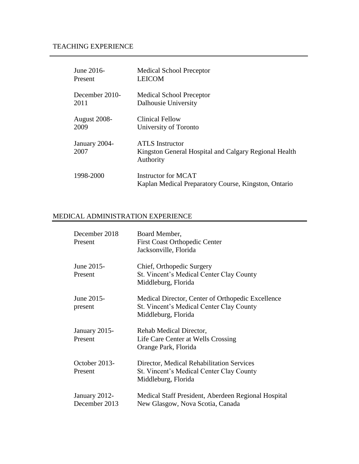# TEACHING EXPERIENCE

| June 2016-            | <b>Medical School Preceptor</b>                                                              |
|-----------------------|----------------------------------------------------------------------------------------------|
| Present               | <b>LEICOM</b>                                                                                |
| December 2010-        | <b>Medical School Preceptor</b>                                                              |
| 2011                  | Dalhousie University                                                                         |
| August 2008-          | <b>Clinical Fellow</b>                                                                       |
| 2009                  | University of Toronto                                                                        |
| January 2004-<br>2007 | <b>ATLS</b> Instructor<br>Kingston General Hospital and Calgary Regional Health<br>Authority |
| 1998-2000             | <b>Instructor for MCAT</b><br>Kaplan Medical Preparatory Course, Kingston, Ontario           |

## MEDICAL ADMINISTRATION EXPERIENCE

| December 2018<br>Present       | Board Member,<br><b>First Coast Orthopedic Center</b><br>Jacksonville, Florida                                       |
|--------------------------------|----------------------------------------------------------------------------------------------------------------------|
| June 2015-<br>Present          | Chief, Orthopedic Surgery<br>St. Vincent's Medical Center Clay County<br>Middleburg, Florida                         |
| June 2015-<br>present          | Medical Director, Center of Orthopedic Excellence<br>St. Vincent's Medical Center Clay County<br>Middleburg, Florida |
| January 2015-<br>Present       | Rehab Medical Director,<br>Life Care Center at Wells Crossing<br>Orange Park, Florida                                |
| October 2013-<br>Present       | Director, Medical Rehabilitation Services<br>St. Vincent's Medical Center Clay County<br>Middleburg, Florida         |
| January 2012-<br>December 2013 | Medical Staff President, Aberdeen Regional Hospital<br>New Glasgow, Nova Scotia, Canada                              |